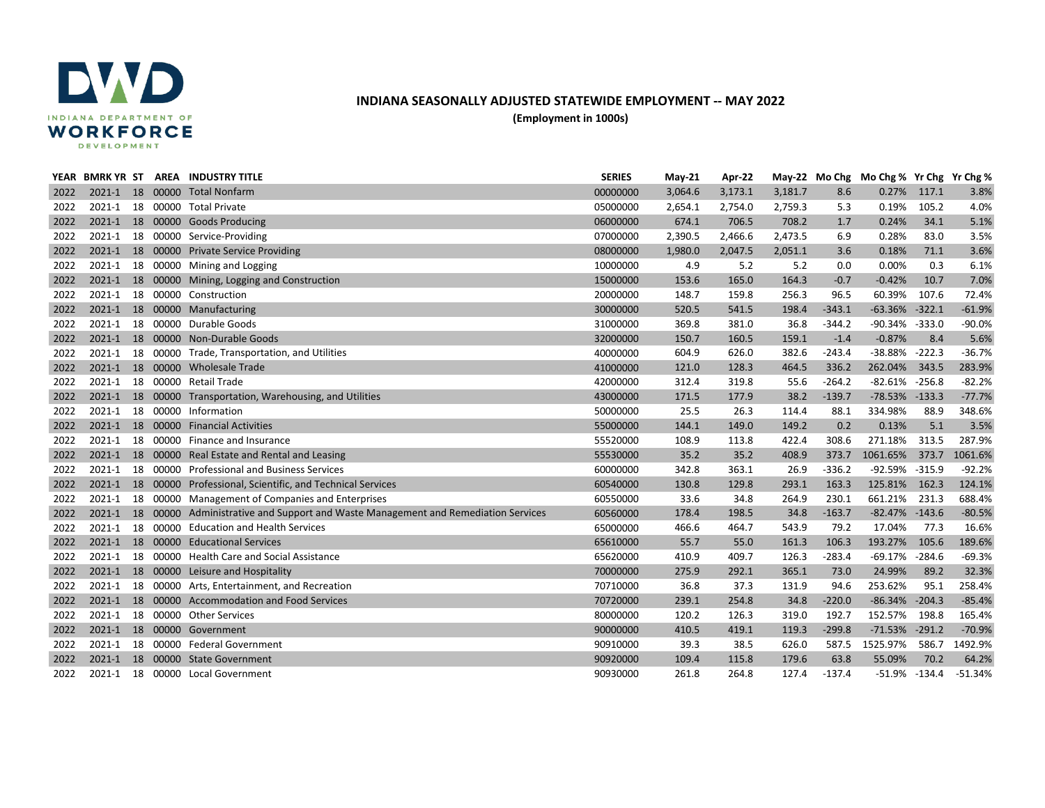

## **INDIANA SEASONALLY ADJUSTED STATEWIDE EMPLOYMENT -- MAY 2022**

**(Employment in 1000s)**

|      |            |  | YEAR BMRK YR ST AREA INDUSTRY TITLE                                                      | <b>SERIES</b> | $May-21$ | Apr-22  |         |          | May-22 Mo Chg Mo Chg % Yr Chg Yr Chg % |          |           |
|------|------------|--|------------------------------------------------------------------------------------------|---------------|----------|---------|---------|----------|----------------------------------------|----------|-----------|
| 2022 |            |  | 2021-1 18 00000 Total Nonfarm                                                            | 00000000      | 3,064.6  | 3,173.1 | 3,181.7 | 8.6      | 0.27%                                  | 117.1    | 3.8%      |
| 2022 | 2021-1     |  | 18 00000 Total Private                                                                   | 05000000      | 2,654.1  | 2,754.0 | 2,759.3 | 5.3      | 0.19%                                  | 105.2    | 4.0%      |
| 2022 |            |  | 2021-1 18 00000 Goods Producing                                                          | 06000000      | 674.1    | 706.5   | 708.2   | 1.7      | 0.24%                                  | 34.1     | 5.1%      |
| 2022 |            |  | 2021-1 18 00000 Service-Providing                                                        | 07000000      | 2,390.5  | 2,466.6 | 2,473.5 | 6.9      | 0.28%                                  | 83.0     | 3.5%      |
| 2022 |            |  | 2021-1 18 00000 Private Service Providing                                                | 08000000      | 1,980.0  | 2,047.5 | 2,051.1 | 3.6      | 0.18%                                  | 71.1     | 3.6%      |
| 2022 |            |  | 2021-1 18 00000 Mining and Logging                                                       | 10000000      | 4.9      | 5.2     | 5.2     | 0.0      | 0.00%                                  | 0.3      | 6.1%      |
| 2022 |            |  | 2021-1 18 00000 Mining, Logging and Construction                                         | 15000000      | 153.6    | 165.0   | 164.3   | $-0.7$   | $-0.42%$                               | 10.7     | 7.0%      |
| 2022 |            |  | 2021-1 18 00000 Construction                                                             | 20000000      | 148.7    | 159.8   | 256.3   | 96.5     | 60.39%                                 | 107.6    | 72.4%     |
| 2022 |            |  | 2021-1 18 00000 Manufacturing                                                            | 30000000      | 520.5    | 541.5   | 198.4   | $-343.1$ | $-63.36%$                              | $-322.1$ | $-61.9%$  |
| 2022 | 2021-1     |  | 18 00000 Durable Goods                                                                   | 31000000      | 369.8    | 381.0   | 36.8    | $-344.2$ | -90.34%                                | $-333.0$ | $-90.0%$  |
| 2022 |            |  | 2021-1 18 00000 Non-Durable Goods                                                        | 32000000      | 150.7    | 160.5   | 159.1   | $-1.4$   | $-0.87%$                               | 8.4      | 5.6%      |
| 2022 |            |  | 2021-1 18 00000 Trade, Transportation, and Utilities                                     | 40000000      | 604.9    | 626.0   | 382.6   | $-243.4$ | $-38.88%$                              | $-222.3$ | $-36.7%$  |
| 2022 |            |  | 2021-1 18 00000 Wholesale Trade                                                          | 41000000      | 121.0    | 128.3   | 464.5   | 336.2    | 262.04%                                | 343.5    | 283.9%    |
| 2022 | 2021-1     |  | 18 00000 Retail Trade                                                                    | 42000000      | 312.4    | 319.8   | 55.6    | $-264.2$ | $-82.61\% -256.8$                      |          | $-82.2%$  |
| 2022 | $2021 - 1$ |  | 18 00000 Transportation, Warehousing, and Utilities                                      | 43000000      | 171.5    | 177.9   | 38.2    | $-139.7$ | $-78.53\% -133.3$                      |          | $-77.7%$  |
| 2022 | 2021-1     |  | 18 00000 Information                                                                     | 50000000      | 25.5     | 26.3    | 114.4   | 88.1     | 334.98%                                | 88.9     | 348.6%    |
| 2022 | $2021 - 1$ |  | 18 00000 Financial Activities                                                            | 55000000      | 144.1    | 149.0   | 149.2   | 0.2      | 0.13%                                  | 5.1      | 3.5%      |
| 2022 | 2021-1     |  | 18 00000 Finance and Insurance                                                           | 55520000      | 108.9    | 113.8   | 422.4   | 308.6    | 271.18%                                | 313.5    | 287.9%    |
| 2022 |            |  | 2021-1 18 00000 Real Estate and Rental and Leasing                                       | 55530000      | 35.2     | 35.2    | 408.9   | 373.7    | 1061.65%                               | 373.7    | 1061.6%   |
| 2022 |            |  | 2021-1 18 00000 Professional and Business Services                                       | 60000000      | 342.8    | 363.1   | 26.9    | $-336.2$ | -92.59% -315.9                         |          | $-92.2%$  |
| 2022 |            |  | 2021-1 18 00000 Professional, Scientific, and Technical Services                         | 60540000      | 130.8    | 129.8   | 293.1   | 163.3    | 125.81%                                | 162.3    | 124.1%    |
| 2022 | 2021-1     |  | 18 00000 Management of Companies and Enterprises                                         | 60550000      | 33.6     | 34.8    | 264.9   | 230.1    | 661.21%                                | 231.3    | 688.4%    |
| 2022 |            |  | 2021-1 18 00000 Administrative and Support and Waste Management and Remediation Services | 60560000      | 178.4    | 198.5   | 34.8    | $-163.7$ | $-82.47\% -143.6$                      |          | $-80.5%$  |
| 2022 | 2021-1     |  | 18 00000 Education and Health Services                                                   | 65000000      | 466.6    | 464.7   | 543.9   | 79.2     | 17.04%                                 | 77.3     | 16.6%     |
| 2022 | $2021 - 1$ |  | 18 00000 Educational Services                                                            | 65610000      | 55.7     | 55.0    | 161.3   | 106.3    | 193.27%                                | 105.6    | 189.6%    |
| 2022 | 2021-1     |  | 18 00000 Health Care and Social Assistance                                               | 65620000      | 410.9    | 409.7   | 126.3   | $-283.4$ | $-69.17%$                              | $-284.6$ | $-69.3%$  |
| 2022 |            |  | 2021-1 18 00000 Leisure and Hospitality                                                  | 70000000      | 275.9    | 292.1   | 365.1   | 73.0     | 24.99%                                 | 89.2     | 32.3%     |
| 2022 |            |  | 2021-1 18 00000 Arts, Entertainment, and Recreation                                      | 70710000      | 36.8     | 37.3    | 131.9   | 94.6     | 253.62%                                | 95.1     | 258.4%    |
| 2022 |            |  | 2021-1 18 00000 Accommodation and Food Services                                          | 70720000      | 239.1    | 254.8   | 34.8    | $-220.0$ | $-86.34%$                              | $-204.3$ | $-85.4%$  |
| 2022 | 2021-1     |  | 18 00000 Other Services                                                                  | 80000000      | 120.2    | 126.3   | 319.0   | 192.7    | 152.57%                                | 198.8    | 165.4%    |
| 2022 |            |  | 2021-1 18 00000 Government                                                               | 90000000      | 410.5    | 419.1   | 119.3   | $-299.8$ | $-71.53%$                              | $-291.2$ | $-70.9%$  |
| 2022 | 2021-1     |  | 18 00000 Federal Government                                                              | 90910000      | 39.3     | 38.5    | 626.0   | 587.5    | 1525.97%                               | 586.7    | 1492.9%   |
| 2022 | $2021 - 1$ |  | 18 00000 State Government                                                                | 90920000      | 109.4    | 115.8   | 179.6   | 63.8     | 55.09%                                 | 70.2     | 64.2%     |
| 2022 |            |  | 2021-1 18 00000 Local Government                                                         | 90930000      | 261.8    | 264.8   | 127.4   | $-137.4$ | -51.9%                                 | -134.4   | $-51.34%$ |